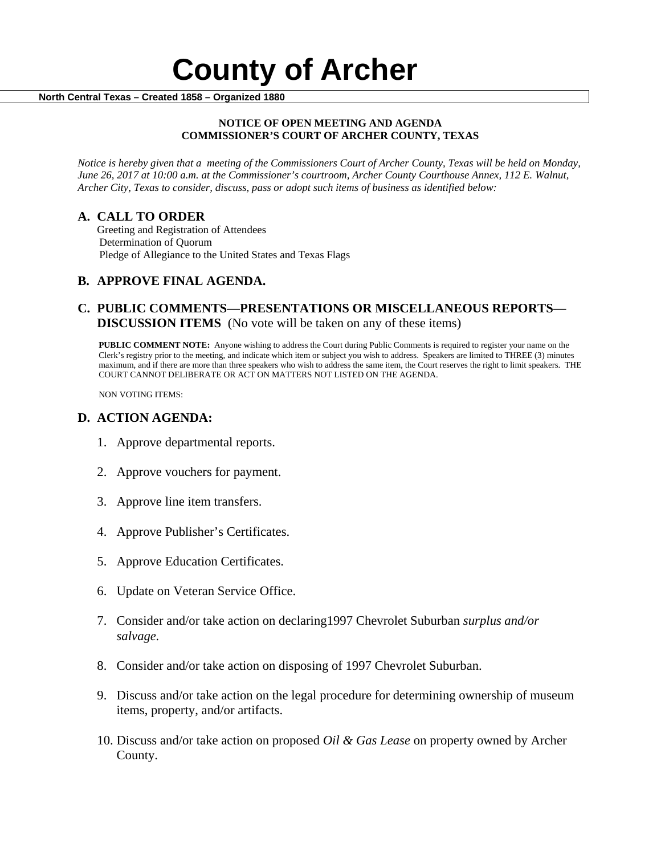#### **NOTICE OF OPEN MEETING AND AGENDA COMMISSIONER'S COURT OF ARCHER COUNTY, TEXAS**

*Notice is hereby given that a meeting of the Commissioners Court of Archer County, Texas will be held on Monday, June 26, 2017 at 10:00 a.m. at the Commissioner's courtroom, Archer County Courthouse Annex, 112 E. Walnut, Archer City, Texas to consider, discuss, pass or adopt such items of business as identified below:*

**A. CALL TO ORDER** Greeting and Registration of Attendees Determination of Quorum Pledge of Allegiance to the United States and Texas Flags

# **B. APPROVE FINAL AGENDA.**

# **C. PUBLIC COMMENTS—PRESENTATIONS OR MISCELLANEOUS REPORTS— DISCUSSION ITEMS** (No vote will be taken on any of these items)

**PUBLIC COMMENT NOTE:** Anyone wishing to address the Court during Public Comments is required to register your name on the Clerk's registry prior to the meeting, and indicate which item or subject you wish to address. Speakers are limited to THREE (3) minutes maximum, and if there are more than three speakers who wish to address the same item, the Court reserves the right to limit speakers. THE COURT CANNOT DELIBERATE OR ACT ON MATTERS NOT LISTED ON THE AGENDA.

NON VOTING ITEMS:

### **D. ACTION AGENDA:**

- 1. Approve departmental reports.
- 2. Approve vouchers for payment.
- 3. Approve line item transfers.
- 4. Approve Publisher's Certificates.
- 5. Approve Education Certificates.
- 6. Update on Veteran Service Office.
- 7. Consider and/or take action on declaring1997 Chevrolet Suburban *surplus and/or salvage.*
- 8. Consider and/or take action on disposing of 1997 Chevrolet Suburban.
- 9. Discuss and/or take action on the legal procedure for determining ownership of museum items, property, and/or artifacts.
- 10. Discuss and/or take action on proposed *Oil & Gas Lease* on property owned by Archer County.